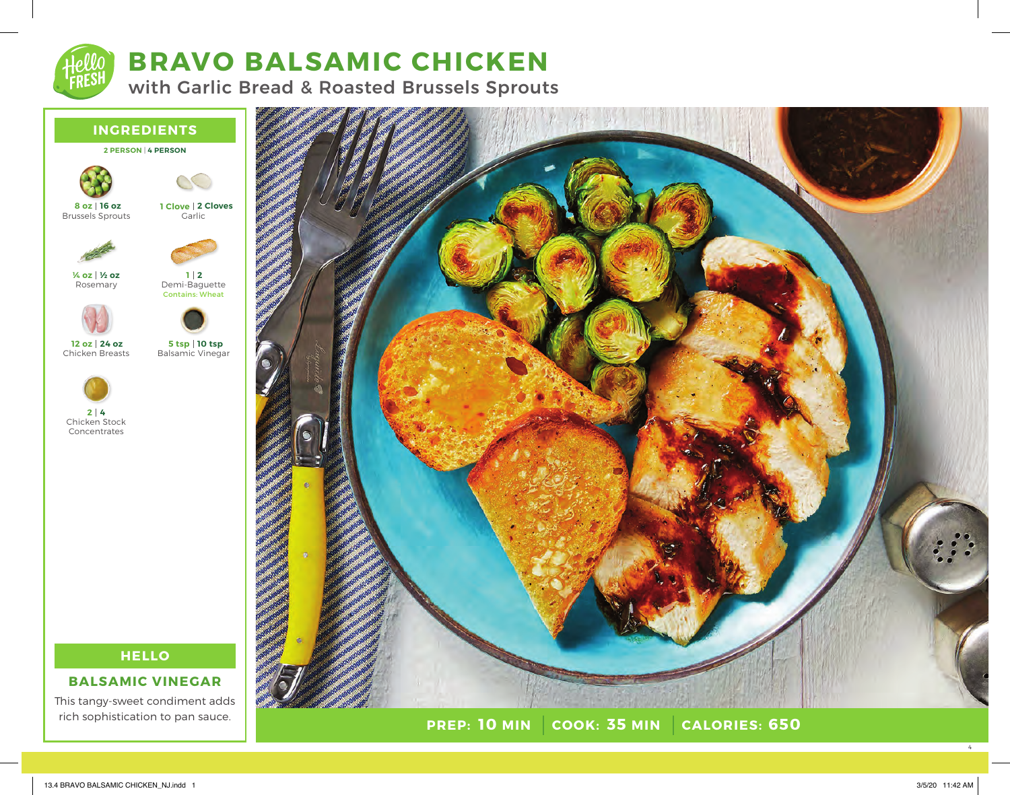**4 2**

## **BRAVO BALSAMIC CHICKEN**

with Garlic Bread & Roasted Brussels Sprouts

# **INGREDIENTS 2 PERSON** | **4 PERSON** Brussels Sprouts Rosemary Chicken Breasts Chicken Stock Concentrates **Garlic** Demi-Baguette **2 1** Contains: Wheat Balsamic Vinegar **2 Cloves 1 Clove 10 tsp 5 tsp 16 oz 8 oz ½ oz ¼ oz 24 oz 12 oz**

### **HELLO**

#### **BALSAMIC VINEGAR**

This tangy-sweet condiment adds rich sophistication to pan sauce.



**PREP: 10 MIN COOK: 35 MIN 10 MIN 35 MIN 650**

4